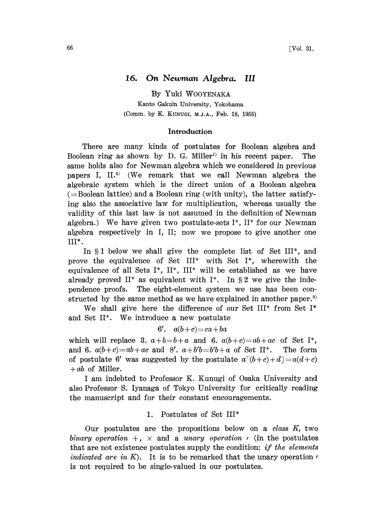# 16. On Newman Algebra. iIl

By Yuki WOOYENAKA Kanto Gakuin University, Yokohama (Comm. by K. KUNUGI, M.J.A., Feb. 18, 1955)

#### Introduction

There are many kinds of postulates for Boolean algebra and Boolean ring as shown by D. G. Miller<sup>1)</sup> in his recent paper. The same holds also for Newman algebra which we considered in previous papers I, II.<sup>2)</sup> (We remark that we call Newman algebra the lgebraic system which is the direct union of a Boolean algebra  $(=$ Boolean lattice) and a Boolean ring (with unity), the latter satisfying also the associative law for multiplication, whereas usually the validity of this last law is not assumed in the definition of Newman algebra.) We have given two postulate-sets  $I^*$ ,  $II^*$  for our Newman algebra respectively in I, II; now we propose to give another one III\*.

In  $\S1$  below we shall give the complete list of Set III\*, and prove the equivalence of Set III\* with Set I\*, wherewith the equivalence of all Sets I\*,  $II^*$ ,  $III^*$  will be established as we have already proved II\* as equivalent with I\*. In  $\S 2$  we give the independence proofs. The eight-element system we use has been constructed by the same method as we have explained in another paper.<sup>3)</sup>

We shall give here the difference of our Set III<sup>\*</sup> from Set I<sup>\*</sup> and Set II\*. We introduce <sup>a</sup> new postulate

$$
6'. \quad a(b+c) = ca + ba
$$

which will replace 3.  $a+b=b+a$  and 6.  $a(b+c)=ab+ac$  of Set I<sup>\*</sup>, and 6.  $a(b+c)=ab+ac$  and 8'.  $a+b'b=b'b+a$  of Set II\*. The form of postulate 6' was suggested by the postulate  $a^r(b+c)+d = a(d+c)$  $+ ab$  of Miller.

<sup>I</sup> am indebted to Professor K. Kunugi of Osaka University and also Professor S. Iyanaga of Tokyo University for critically reading the manuscript and for their constant encouragements.

### 1. Postulates of Set III\*

Our postulates are the propositions below on a *class K*, two binary operation  $+$ ,  $\times$  and a unary operation  $\prime$  (in the postulates that are not existence postulates supply the condition: if the elements *indicated are in K*). It is to be remarked that the unary operation  $\prime$ is not required to be single-valued in our postulates.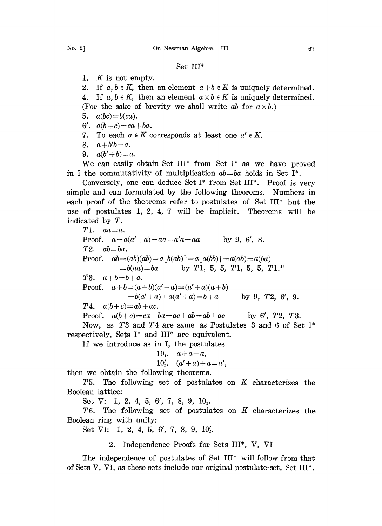## Set III\*

- 1. K is not empty.
- 2. If  $a, b \in K$ , then an element  $a+b \in K$  is uniquely determined.
- 4. If  $a, b \in K$ , then an element  $a \times b \in K$  is uniquely determined. (For the sake of brevity we shall write ab for  $a \times b$ .)
- 5.  $a(bc)=b(ca)$ .
- 6'.  $a(b+c)=ca+ba$ .
- 7. To each  $a \in K$  corresponds at least one  $a' \in K$ .
- 8.  $a + b^{\prime}b = a$ .
- 9.  $a(b'+b)=a$ .

We can easily obtain Set III<sup>\*</sup> from Set I<sup>\*</sup> as we have proved in I the commutativity of multiplication  $ab = ba$  holds in Set I<sup>\*</sup>.

Conversely, one can deduce Set I\* from Set III\*. Proof is very simple and can formulated by the following theorems. Numbers in each proof of the theorems refer to postulates of Set III\* but the use of postulates 1, 2, 4, 7 will be implicit. Theorems will be indicated by T.

 $T1.$   $aa=a.$ Proof.  $a=a(a'+a)=aa+a'a=aa$  by 9, 6', 8.  $T2.$   $ab = ba.$ Proof.  $ab = (ab)(ab) = a[b(ab)] = a[a(bb)] = a(ab) = a(ba)$  $= b(aa) = ba$  by T1, 5, 5, T1, 5, 5, T1.<sup>4)</sup> T3.  $a+b=b+a$ . Proof.  $a+b=(a+b)(a'+a)=(a'+a)(a+b)$  $= b(a'+a)+a(a'+a)=b+a$  by 9, T2, 6', 9. **T4.**  $a(b+c)=ab+ac$ . Proof.  $a(b+c)=ca+ba=ac+ab=ab+ac$  by 6', T2, T3. Now, as T3 and T4 are same as Postulates 3 and 6 of Set I\*

respectively, Sets I\* and III\* are equivalent.

If we introduce as in I, the postulates

$$
101, a+a=a,
$$

 $10'$ ,  $(a'+a)+a=a'$ ,

hen we obtain the following theorems.

T5. The following set of postulates on  $K$  characterizes the Boolean lattice:

Set V: 1, 2, 4, 5, 6', 7, 8, 9, 10<sub>1</sub>.

T6. The following set of postulates on  $K$  characterizes the Boolean ring with unity:

Set VI: 1, 2, 4, 5, 6', 7, 8, 9,  $10'_{3}$ .

# 2. Independence Proofs for Sets iII\*, V, VI

The independence of postulates of Set III\* will follow from that of Sets V, VI, as these sets include our original postulate-set, Set III\*.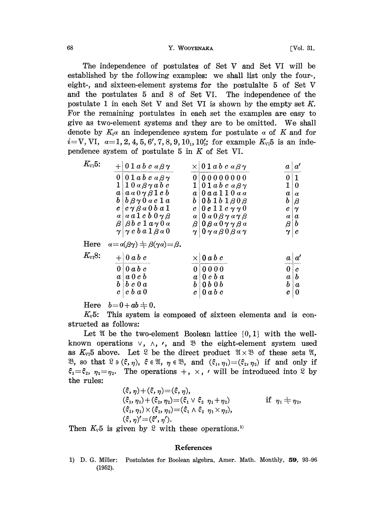#### <sup>68</sup> Y. WOOYEN-: [Vol. 31,

The independence of postulates of Set V and Set VI will be established by the following examples: we shall list only the four-, eight-, and sixteen-element systems for the postuhlte <sup>5</sup> of Set V and the postulates 5 and 8 of Set VI. The independence of the postulate 1 in each Set V and Set VI is shown by the empty set  $K$ . For the remaining postulates in each set the examples are easy to give as two-element systems and they are to be omitted. We shall denote by  $K_i \alpha$  an independence system for postulate  $\alpha$  of K and for  $i=V$ , VI,  $\alpha=1, 2, 4, 5, 6', 7, 8, 9, 10<sub>1</sub>, 10'<sub>2</sub>$  for example  $K_{VI}5$  is an independence system of postulate  $5$  in  $K$  of Set VI.

| 1<br>0<br>$\alpha$ |
|--------------------|
|                    |
|                    |
|                    |
| $\beta$            |
| $\gamma$           |
| $\boldsymbol{a}$   |
| b                  |
| $\boldsymbol{c}$   |
|                    |
| a'                 |
| c                  |
| h                  |
| $\boldsymbol{a}$   |
| 0                  |
|                    |

Here  $b=0+ab+0$ .

 $K_v 5$ : This system is composed of sixteen elements and is constructed as follows:

Let  $\mathfrak A$  be the two-element Boolean lattice  $\{0, 1\}$  with the wellknown operations  $\vee$ ,  $\wedge$ ,  $\vee$ , and  $\mathfrak{B}$  the eight-element system used as  $K_{VI}5$  above. Let  $\mathcal{L}$  be the direct product  $\mathcal{U}\times\mathcal{B}$  of these sets  $\mathcal{U}$ ,  $\mathfrak{B}$ , so that  $\mathfrak{C} \ni (\xi, \eta)$ ,  $\xi \in \mathfrak{A}$ ,  $\eta \in \mathfrak{B}$ , and  $(\xi_1, \eta_1) = (\xi_2, \eta_2)$  if and only if  $\xi_1 = \xi_2$ ,  $\eta_1 = \eta_2$ . The operations  $+$ ,  $\times$ ,  $\prime$  will be introduced into  $\Omega$  by the rules:  $\frac{1}{2}$   $\frac{1}{2}$   $\frac{1}{2}$ 

$$
(\xi, \eta) + (\xi, \eta) = (\xi, \eta),
$$
  
\n
$$
(\xi_1, \eta_1) + (\xi_2, \eta_2) = (\xi_1 \vee \xi_2, \eta_1 + \eta_2) \qquad \text{if } \eta_1 \neq \eta_2,
$$
  
\n
$$
(\xi_1, \eta_1) \times (\xi_2, \eta_2) = (\xi_1 \wedge \xi_2, \eta_1 \times \eta_2),
$$
  
\n
$$
(\xi, \eta)' = (\xi', \eta').
$$

Then  $K_v 5$  is given by  $\mathcal{L}$  with these operations.<sup>5)</sup>

#### References

1) D. G. Miller: Postulates for Boolean algebra, Amer. Math. Monthly, 59, 93-96(1952).